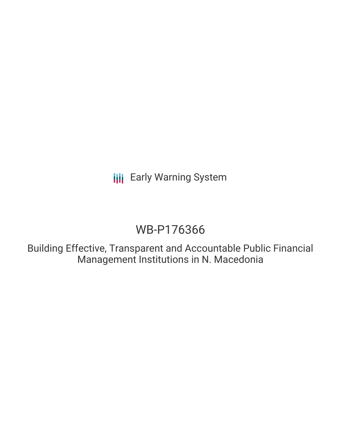**III** Early Warning System

# WB-P176366

Building Effective, Transparent and Accountable Public Financial Management Institutions in N. Macedonia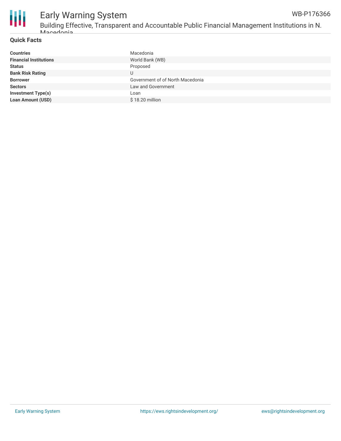

### Early Warning System Building Effective, Transparent and Accountable Public Financial Management Institutions in N.

### **Quick Facts**

Macedonia

| <b>Countries</b>              | Macedonia                        |
|-------------------------------|----------------------------------|
| <b>Financial Institutions</b> | World Bank (WB)                  |
| <b>Status</b>                 | Proposed                         |
| <b>Bank Risk Rating</b>       | U                                |
| <b>Borrower</b>               | Government of of North Macedonia |
| <b>Sectors</b>                | Law and Government               |
| <b>Investment Type(s)</b>     | Loan                             |
| <b>Loan Amount (USD)</b>      | \$18.20 million                  |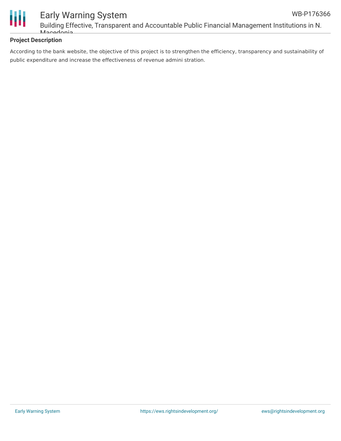



### Early Warning System Building Effective, Transparent and Accountable Public Financial Management Institutions in N. Macedonia

### **Project Description**

According to the bank website, the objective of this project is to strengthen the efficiency, transparency and sustainability of public expenditure and increase the effectiveness of revenue admini stration.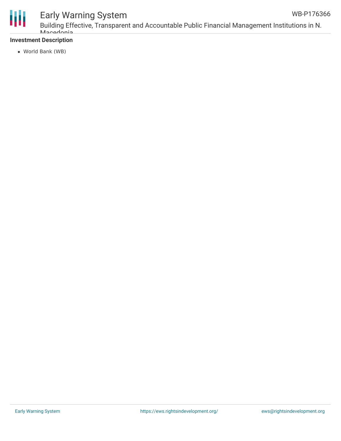

## Early Warning System

### **Investment Description**

World Bank (WB)